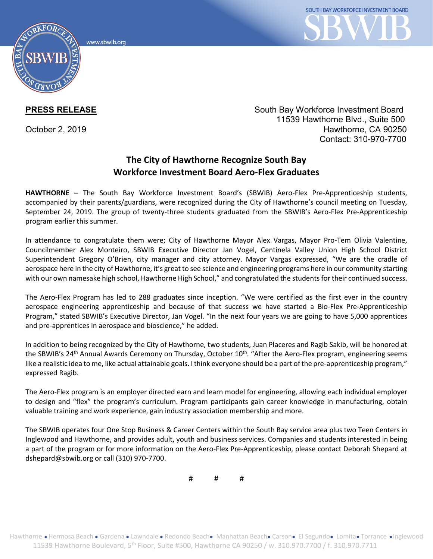www.sbwib.ord



**PRESS RELEASE** South Bay Workforce Investment Board 11539 Hawthorne Blvd., Suite 500 October 2, 2019 **Hawthorne, CA 90250** Contact: 310-970-7700

## **The City of Hawthorne Recognize South Bay Workforce Investment Board Aero-Flex Graduates**

**HAWTHORNE –** The South Bay Workforce Investment Board's (SBWIB) Aero-Flex Pre-Apprenticeship students, accompanied by their parents/guardians, were recognized during the City of Hawthorne's council meeting on Tuesday, September 24, 2019. The group of twenty-three students graduated from the SBWIB's Aero-Flex Pre-Apprenticeship program earlier this summer.

In attendance to congratulate them were; City of Hawthorne Mayor Alex Vargas, Mayor Pro-Tem Olivia Valentine, Councilmember Alex Monteiro, SBWIB Executive Director Jan Vogel, Centinela Valley Union High School District Superintendent Gregory O'Brien, city manager and city attorney. Mayor Vargas expressed, "We are the cradle of aerospace here in the city of Hawthorne, it's great to see science and engineering programs here in our community starting with our own namesake high school, Hawthorne High School," and congratulated the students for their continued success.

The Aero-Flex Program has led to 288 graduates since inception. "We were certified as the first ever in the country aerospace engineering apprenticeship and because of that success we have started a Bio-Flex Pre-Apprenticeship Program," stated SBWIB's Executive Director, Jan Vogel. "In the next four years we are going to have 5,000 apprentices and pre-apprentices in aerospace and bioscience," he added.

In addition to being recognized by the City of Hawthorne, two students, Juan Placeres and Ragib Sakib, will be honored at the SBWIB's 24<sup>th</sup> Annual Awards Ceremony on Thursday, October 10<sup>th</sup>. "After the Aero-Flex program, engineering seems like a realistic idea to me, like actual attainable goals. I think everyone should be a part of the pre-apprenticeship program," expressed Ragib.

The Aero-Flex program is an employer directed earn and learn model for engineering, allowing each individual employer to design and "flex" the program's curriculum. Program participants gain career knowledge in manufacturing, obtain valuable training and work experience, gain industry association membership and more.

The SBWIB operates four One Stop Business & Career Centers within the South Bay service area plus two Teen Centers in Inglewood and Hawthorne, and provides adult, youth and business services. Companies and students interested in being a part of the program or for more information on the Aero-Flex Pre-Apprenticeship, please contact Deborah Shepard at dshepard@sbwib.org or call (310) 970-7700.

# # #